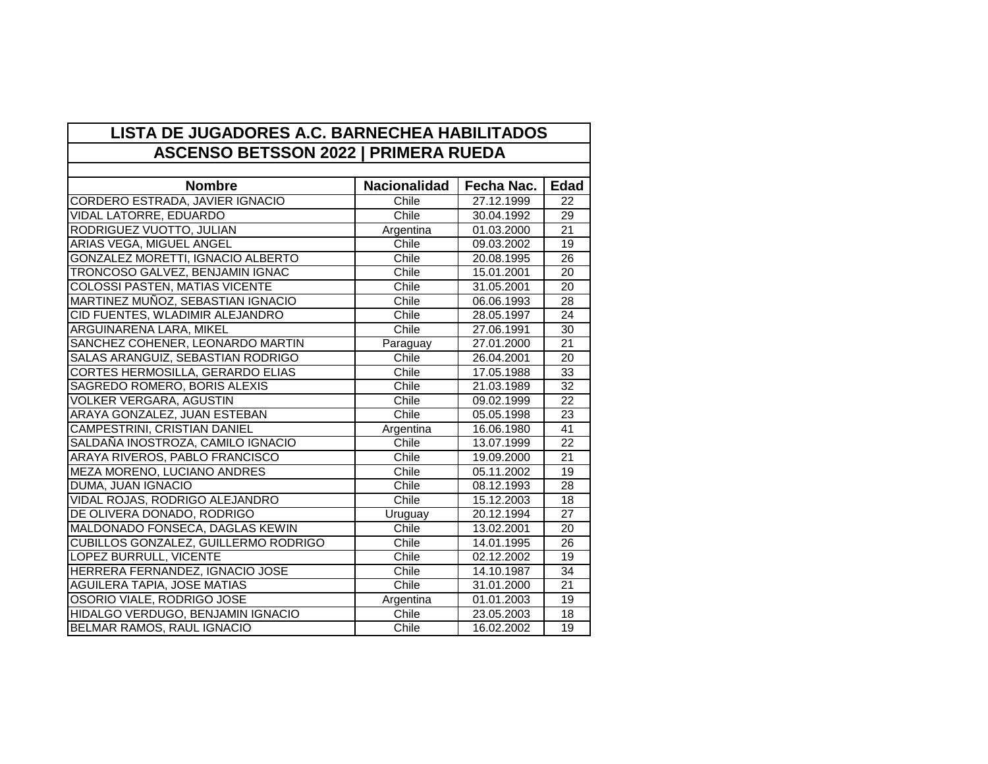| LISTA DE JUGADORES A.C. BARNECHEA HABILITADOS<br><b>ASCENSO BETSSON 2022   PRIMERA RUEDA</b> |                     |            |                 |  |
|----------------------------------------------------------------------------------------------|---------------------|------------|-----------------|--|
|                                                                                              |                     |            |                 |  |
| <b>Nombre</b>                                                                                | <b>Nacionalidad</b> | Fecha Nac. | <b>Edad</b>     |  |
| CORDERO ESTRADA, JAVIER IGNACIO                                                              | Chile               | 27.12.1999 | 22              |  |
| <b>VIDAL LATORRE, EDUARDO</b>                                                                | <b>Chile</b>        | 30.04.1992 | 29              |  |
| RODRIGUEZ VUOTTO, JULIAN                                                                     | Argentina           | 01.03.2000 | 21              |  |
| <b>ARIAS VEGA, MIGUEL ANGEL</b>                                                              | Chile               | 09.03.2002 | 19              |  |
| GONZALEZ MORETTI, IGNACIO ALBERTO                                                            | Chile               | 20.08.1995 | $\overline{26}$ |  |
| TRONCOSO GALVEZ, BENJAMIN IGNAC                                                              | Chile               | 15.01.2001 | 20              |  |
| <b>COLOSSI PASTEN, MATIAS VICENTE</b>                                                        | Chile               | 31.05.2001 | 20              |  |
| MARTINEZ MUÑOZ, SEBASTIAN IGNACIO                                                            | Chile               | 06.06.1993 | 28              |  |
| CID FUENTES, WLADIMIR ALEJANDRO                                                              | Chile               | 28.05.1997 | 24              |  |
| ARGUINARENA LARA, MIKEL                                                                      | Chile               | 27.06.1991 | 30              |  |
| SANCHEZ COHENER, LEONARDO MARTIN                                                             | Paraguay            | 27.01.2000 | $\overline{21}$ |  |
| SALAS ARANGUIZ, SEBASTIAN RODRIGO                                                            | Chile               | 26.04.2001 | 20              |  |
| CORTES HERMOSILLA, GERARDO ELIAS                                                             | Chile               | 17.05.1988 | 33              |  |
| SAGREDO ROMERO, BORIS ALEXIS                                                                 | Chile               | 21.03.1989 | $\overline{32}$ |  |
| <b>VOLKER VERGARA, AGUSTIN</b>                                                               | Chile               | 09.02.1999 | 22              |  |
| ARAYA GONZALEZ, JUAN ESTEBAN                                                                 | Chile               | 05.05.1998 | 23              |  |
| <b>CAMPESTRINI, CRISTIAN DANIEL</b>                                                          | Argentina           | 16.06.1980 | 41              |  |
| SALDANA INOSTROZA, CAMILO IGNACIO                                                            | Chile               | 13.07.1999 | 22              |  |
| ARAYA RIVEROS, PABLO FRANCISCO                                                               | Chile               | 19.09.2000 | 21              |  |
| MEZA MORENO, LUCIANO ANDRES                                                                  | Chile               | 05.11.2002 | 19              |  |
| DUMA, JUAN IGNACIO                                                                           | Chile               | 08.12.1993 | 28              |  |
| VIDAL ROJAS, RODRIGO ALEJANDRO                                                               | Chile               | 15.12.2003 | 18              |  |
| DE OLIVERA DONADO, RODRIGO                                                                   | Uruguay             | 20.12.1994 | 27              |  |
| MALDONADO FONSECA, DAGLAS KEWIN                                                              | Chile               | 13.02.2001 | 20              |  |
| CUBILLOS GONZALEZ, GUILLERMO RODRIGO                                                         | Chile               | 14.01.1995 | 26              |  |
| LOPEZ BURRULL, VICENTE                                                                       | Chile               | 02.12.2002 | 19              |  |
| HERRERA FERNANDEZ, IGNACIO JOSE                                                              | Chile               | 14.10.1987 | $\overline{34}$ |  |
| AGUILERA TAPIA, JOSE MATIAS                                                                  | Chile               | 31.01.2000 | $\overline{21}$ |  |
| OSORIO VIALE, RODRIGO JOSE                                                                   | Argentina           | 01.01.2003 | 19              |  |
| HIDALGO VERDUGO, BENJAMIN IGNACIO                                                            | Chile               | 23.05.2003 | 18              |  |
| BELMAR RAMOS, RAUL IGNACIO                                                                   | Chile               | 16.02.2002 | 19              |  |